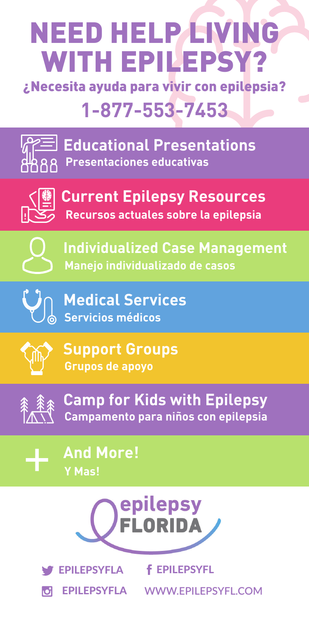# NEED HELP LIVING WITH EPILEPSY?

¿Necesita ayuda para vivir con epilepsia? **1-877-553-7453**



**Educational Presentations Presentaciones educativas**



**Current Epilepsy Resources Recursos actuales sobre la epilepsia**



**Manejo individualizado de casos Individualized Case Management**



**Servicios médicos Medical Services**



**Grupos de apoyo Support Groups**



**Campamento para niños con epilepsia Camp for Kids with Epilepsy**

+

**Y Mas! And More!**





EPILEPSYFLA **f** EPILEPSYFL

EPILEPSYFLA **WWW.EPILEPSYFL.COM**